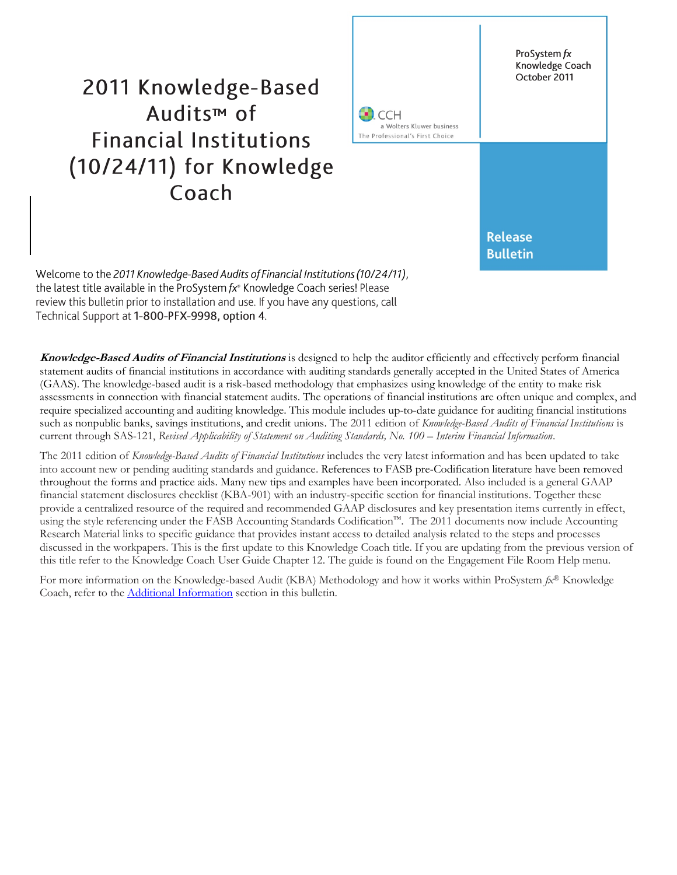# 2011 Knowledge-Based Audits<sup>™</sup> of **Financial Institutions** (10/24/11) for Knowledge Coach



Welcome to the 2011 Knowledge-Based Audits of Financial Institutions (10/24/11), the latest title available in the ProSystem fx<sup>®</sup> Knowledge Coach series! Please review this bulletin prior to installation and use. If you have any questions, call Technical Support at 1-800-PFX-9998, option 4.

**Knowledge-Based Audits of Financial Institutions** is designed to help the auditor efficiently and effectively perform financial statement audits of financial institutions in accordance with auditing standards generally accepted in the United States of America (GAAS). The knowledge-based audit is a risk-based methodology that emphasizes using knowledge of the entity to make risk assessments in connection with financial statement audits. The operations of financial institutions are often unique and complex, and require specialized accounting and auditing knowledge. This module includes up-to-date guidance for auditing financial institutions such as nonpublic banks, savings institutions, and credit unions. The 2011 edition of *Knowledge-Based Audits of Financial Institutions* is current through SAS-121, *Revised Applicability of Statement on Auditing Standards, No. 100 – Interim Financial Information*.

The 2011 edition of *Knowledge-Based Audits of Financial Institutions* includes the very latest information and has been updated to take into account new or pending auditing standards and guidance. References to FASB pre-Codification literature have been removed throughout the forms and practice aids. Many new tips and examples have been incorporated. Also included is a general GAAP financial statement disclosures checklist (KBA-901) with an industry-specific section for financial institutions. Together these provide a centralized resource of the required and recommended GAAP disclosures and key presentation items currently in effect, using the style referencing under the FASB Accounting Standards Codification™. The 2011 documents now include Accounting Research Material links to specific guidance that provides instant access to detailed analysis related to the steps and processes discussed in the workpapers. This is the first update to this Knowledge Coach title. If you are updating from the previous version of this title refer to the Knowledge Coach User Guide Chapter 12. The guide is found on the Engagement File Room Help menu.

For more information on the Knowledge-based Audit (KBA) Methodology and how it works within ProSystem *fx*® Knowledge Coach, refer to the **Additional Information** section in this bulletin.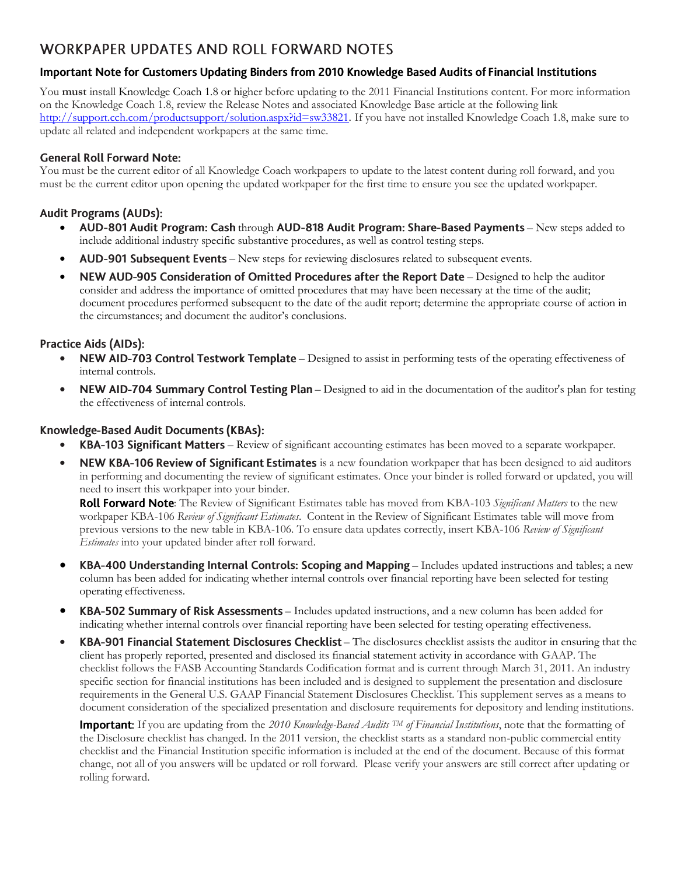# **WORKPAPER UPDATES AND ROLL FORWARD NOTES**

# Important Note for Customers Updating Binders from 2010 Knowledge Based Audits of Financial Institutions

You **must** install Knowledge Coach 1.8 or higher before updating to the 2011 Financial Institutions content. For more information on the Knowledge Coach 1.8, review the Release Notes and associated Knowledge Base article at the following link [http://support.cch.com/productsupport/solution.aspx?id=sw33821.](http://support.cch.com/productsupport/solution.aspx?id=sw33821) If you have not installed Knowledge Coach 1.8, make sure to update all related and independent workpapers at the same time.

# **General Roll Forward Note:**

You must be the current editor of all Knowledge Coach workpapers to update to the latest content during roll forward, and you must be the current editor upon opening the updated workpaper for the first time to ensure you see the updated workpaper.

# **Audit Programs (AUDs):**

- AUD-801 Audit Program: Cash through AUD-818 Audit Program: Share-Based Payments New steps added to include additional industry specific substantive procedures, as well as control testing steps.
- AUD-901 Subsequent Events New steps for reviewing disclosures related to subsequent events.
- $\bullet$  NEW AUD-905 Consideration of Omitted Procedures after the Report Date Designed to help the auditor consider and address the importance of omitted procedures that may have been necessary at the time of the audit; document procedures performed subsequent to the date of the audit report; determine the appropriate course of action in the circumstances; and document the auditor's conclusions.

# **Practice Aids (AIDs):**

- NEW AID-703 Control Testwork Template Designed to assist in performing tests of the operating effectiveness of internal controls.
- NEW AID-704 Summary Control Testing Plan Designed to aid in the documentation of the auditor's plan for testing the effectiveness of internal controls.

# Knowledge-Based Audit Documents (KBAs):

- KBA-103 Significant Matters Review of significant accounting estimates has been moved to a separate workpaper.
- NEW KBA-106 Review of Significant Estimates is a new foundation workpaper that has been designed to aid auditors in performing and documenting the review of significant estimates. Once your binder is rolled forward or updated, you will need to insert this workpaper into your binder.

: The Review of Significant Estimates table has moved from KBA-103 *Significant Matters* to the new workpaper KBA-106 *Review of Significant Estimates*. Content in the Review of Significant Estimates table will move from previous versions to the new table in KBA-106. To ensure data updates correctly, insert KBA-106 *Review of Significant Estimates* into your updated binder after roll forward.

- KBA-400 Understanding Internal Controls: Scoping and Mapping Includes updated instructions and tables; a new column has been added for indicating whether internal controls over financial reporting have been selected for testing operating effectiveness.
- KBA-502 Summary of Risk Assessments Includes updated instructions, and a new column has been added for indicating whether internal controls over financial reporting have been selected for testing operating effectiveness.
- KBA-901 Financial Statement Disclosures Checklist The disclosures checklist assists the auditor in ensuring that the client has properly reported, presented and disclosed its financial statement activity in accordance with GAAP. The checklist follows the FASB Accounting Standards Codification format and is current through March 31, 2011. An industry specific section for financial institutions has been included and is designed to supplement the presentation and disclosure requirements in the General U.S. GAAP Financial Statement Disclosures Checklist. This supplement serves as a means to document consideration of the specialized presentation and disclosure requirements for depository and lending institutions.

**Important:** If you are updating from the 2010 Knowledge-Based Audits <sup>TM</sup> of Financial Institutions, note that the formatting of the Disclosure checklist has changed. In the 2011 version, the checklist starts as a standard non-public commercial entity checklist and the Financial Institution specific information is included at the end of the document. Because of this format change, not all of you answers will be updated or roll forward. Please verify your answers are still correct after updating or rolling forward.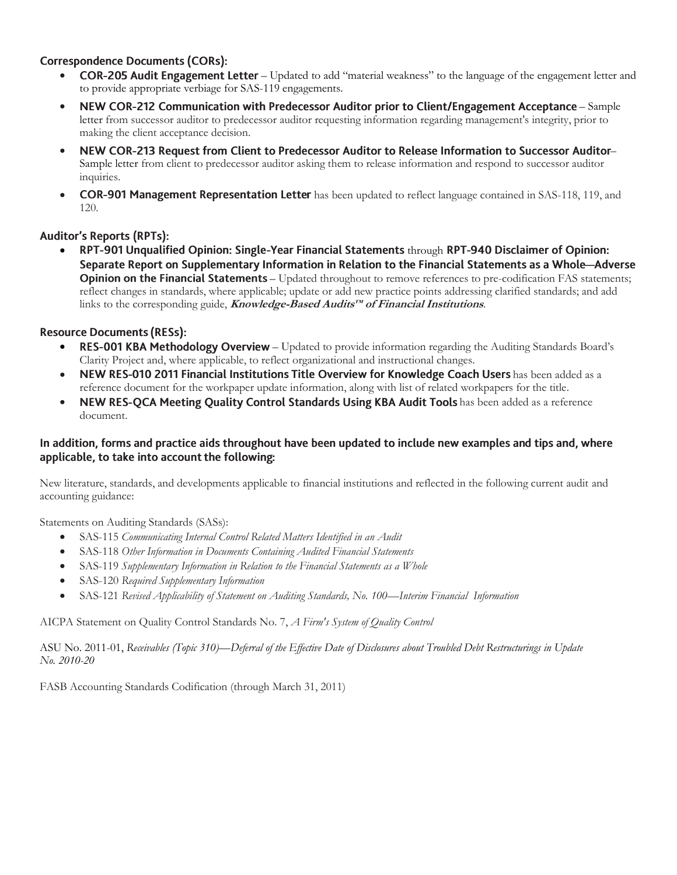# **Correspondence Documents (CORs):**

- **COR-205 Audit Engagement Letter** Updated to add "material weakness" to the language of the engagement letter and to provide appropriate verbiage for SAS-119 engagements.
- NEW COR-212 Communication with Predecessor Auditor prior to Client/Engagement Acceptance Sample letter from successor auditor to predecessor auditor requesting information regarding management's integrity, prior to making the client acceptance decision.
- NEW COR-213 Request from Client to Predecessor Auditor to Release Information to Successor Auditor-Sample letter from client to predecessor auditor asking them to release information and respond to successor auditor inquiries.
- **COR-901 Management Representation Letter** has been updated to reflect language contained in SAS-118, 119, and 120.

# **Auditor's Reports (RPTs):**

RPT-901 Unqualified Opinion: Single-Year Financial Statements through RPT-940 Disclaimer of Opinion: Separate Report on Supplementary Information in Relation to the Financial Statements as a Whole-Adverse Opinion on the Financial Statements - Updated throughout to remove references to pre-codification FAS statements; reflect changes in standards, where applicable; update or add new practice points addressing clarified standards; and add links to the corresponding guide, **Knowledge-Based Audits™ of Financial Institutions**.

# **Resource Documents (RESs):**

- RES-001 KBA Methodology Overview Updated to provide information regarding the Auditing Standards Board's Clarity Project and, where applicable, to reflect organizational and instructional changes.
- NEW RES-010 2011 Financial Institutions Title Overview for Knowledge Coach Users has been added as a reference document for the workpaper update information, along with list of related workpapers for the title.
- NEW RES-QCA Meeting Quality Control Standards Using KBA Audit Tools has been added as a reference document.

# In addition, forms and practice aids throughout have been updated to include new examples and tips and, where applicable, to take into account the following:

New literature, standards, and developments applicable to financial institutions and reflected in the following current audit and accounting guidance:

Statements on Auditing Standards (SASs):

- SAS-115 *Communicating Internal Control Related Matters Identified in an Audit*
- SAS-118 *Other Information in Documents Containing Audited Financial Statements*
- SAS-119 *Supplementary Information in Relation to the Financial Statements as a Whole*
- SAS-120 *Required Supplementary Information*
- SAS-121 *Revised Applicability of Statement on Auditing Standards, No. 100—Interim Financial Information*

AICPA Statement on Quality Control Standards No. 7, *A Firm's System of Quality Control*

ASU No. 2011-01, *Receivables (Topic 310)—Deferral of the Effective Date of Disclosures about Troubled Debt Restructurings in Update No. 2010-20*

<span id="page-2-0"></span>FASB Accounting Standards Codification (through March 31, 2011)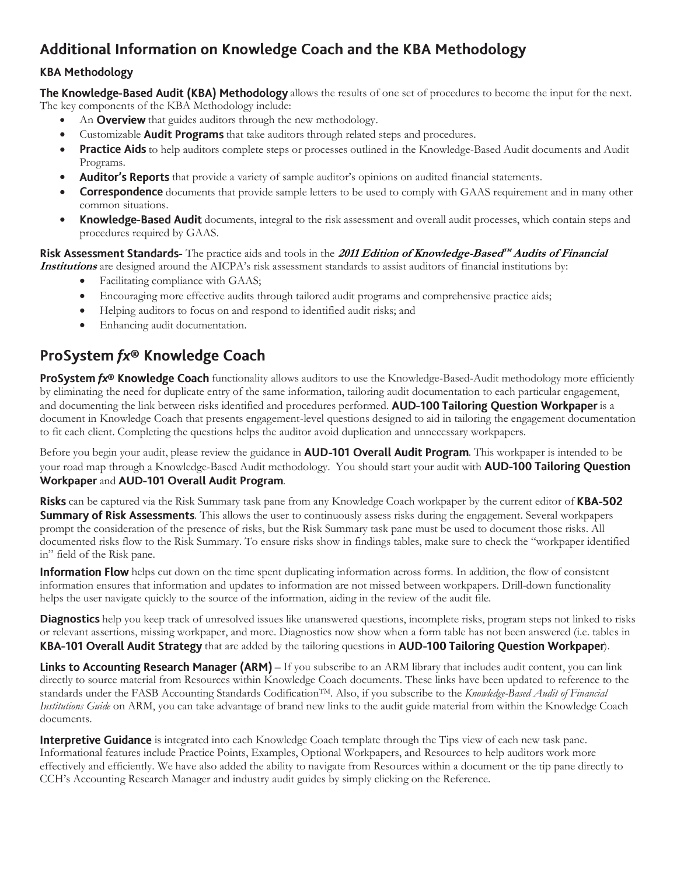# Additional Information on Knowledge Coach and the KBA Methodology

# **KBA Methodology**

The Knowledge-Based Audit (KBA) Methodology allows the results of one set of procedures to become the input for the next. The key components of the KBA Methodology include:

- An **Overview** that guides auditors through the new methodology.
- Customizable **Audit Programs** that take auditors through related steps and procedures.
- **Practice Aids** to help auditors complete steps or processes outlined in the Knowledge-Based Audit documents and Audit Programs.
- **Auditor's Reports** that provide a variety of sample auditor's opinions on audited financial statements.
- **Correspondence** documents that provide sample letters to be used to comply with GAAS requirement and in many other common situations.
- Knowledge-Based Audit documents, integral to the risk assessment and overall audit processes, which contain steps and procedures required by GAAS.

#### **Risk Assessment Standards-** The practice aids and tools in the 2011 Edition of Knowledge-Based<sup>ry</sup> Audits of Financial **Institutions** are designed around the AICPA's risk assessment standards to assist auditors of financial institutions by:

- Facilitating compliance with GAAS;
- Encouraging more effective audits through tailored audit programs and comprehensive practice aids;
- Helping auditors to focus on and respond to identified audit risks; and
- Enhancing audit documentation.

# ProSystem fx® Knowledge Coach

**ProSystem fx® Knowledge Coach** functionality allows auditors to use the Knowledge-Based-Audit methodology more efficiently by eliminating the need for duplicate entry of the same information, tailoring audit documentation to each particular engagement, and documenting the link between risks identified and procedures performed. **AUD-100 Tailoring Question Workpaper** is a document in Knowledge Coach that presents engagement-level questions designed to aid in tailoring the engagement documentation to fit each client. Completing the questions helps the auditor avoid duplication and unnecessary workpapers.

Before you begin your audit, please review the guidance in **AUD-101 Overall Audit Program**. This workpaper is intended to be your road map through a Knowledge-Based Audit methodology. You should start your audit with **AUD-100 Tailoring Question** Workpaper and AUD-101 Overall Audit Program.

**Risks** can be captured via the Risk Summary task pane from any Knowledge Coach workpaper by the current editor of **KBA-502 Summary of Risk Assessments**. This allows the user to continuously assess risks during the engagement. Several workpapers prompt the consideration of the presence of risks, but the Risk Summary task pane must be used to document those risks. All documented risks flow to the Risk Summary. To ensure risks show in findings tables, make sure to check the "workpaper identified in" field of the Risk pane.

**Information Flow** helps cut down on the time spent duplicating information across forms. In addition, the flow of consistent information ensures that information and updates to information are not missed between workpapers. Drill-down functionality helps the user navigate quickly to the source of the information, aiding in the review of the audit file.

**Diagnostics** help you keep track of unresolved issues like unanswered questions, incomplete risks, program steps not linked to risks or relevant assertions, missing workpaper, and more. Diagnostics now show when a form table has not been answered (i.e. tables in KBA-101 Overall Audit Strategy that are added by the tailoring questions in AUD-100 Tailoring Question Workpaper).

Links to Accounting Research Manager (ARM) – If you subscribe to an ARM library that includes audit content, you can link directly to source material from Resources within Knowledge Coach documents. These links have been updated to reference to the standards under the FASB Accounting Standards CodificationTM. Also, if you subscribe to the *Knowledge-Based Audit of Financial Institutions Guide* on ARM, you can take advantage of brand new links to the audit guide material from within the Knowledge Coach documents.

**Interpretive Guidance** is integrated into each Knowledge Coach template through the Tips view of each new task pane. Informational features include Practice Points, Examples, Optional Workpapers, and Resources to help auditors work more effectively and efficiently. We have also added the ability to navigate from Resources within a document or the tip pane directly to CCH's Accounting Research Manager and industry audit guides by simply clicking on the Reference.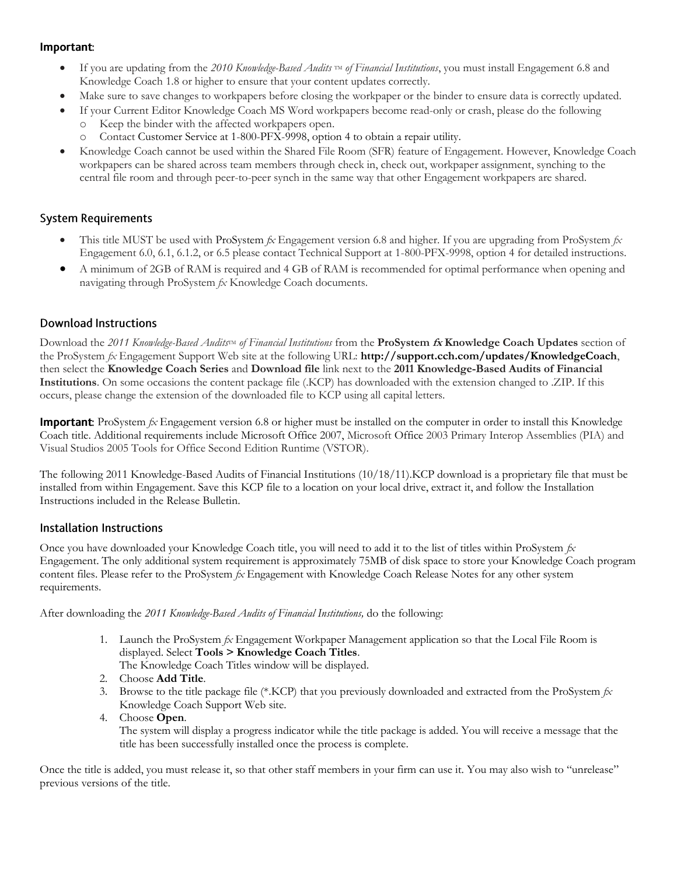#### Important:

- If you are updating from the 2010 Knowledge-Based Audits<sup>tM</sup> of Financial Institutions, you must install Engagement 6.8 and Knowledge Coach 1.8 or higher to ensure that your content updates correctly.
- Make sure to save changes to workpapers before closing the workpaper or the binder to ensure data is correctly updated.
- If your Current Editor Knowledge Coach MS Word workpapers become read-only or crash, please do the following o Keep the binder with the affected workpapers open.
	- Contact Customer Service at 1-800-PFX-9998, option 4 to obtain a repair utility.
- Knowledge Coach cannot be used within the Shared File Room (SFR) feature of Engagement. However, Knowledge Coach workpapers can be shared across team members through check in, check out, workpaper assignment, synching to the central file room and through peer-to-peer synch in the same way that other Engagement workpapers are shared.

#### **System Requirements**

- This title MUST be used with ProSystem *fx* Engagement version 6.8 and higher. If you are upgrading from ProSystem *fx*  Engagement 6.0, 6.1, 6.1.2, or 6.5 please contact Technical Support at 1-800-PFX-9998, option 4 for detailed instructions.
- A minimum of 2GB of RAM is required and 4 GB of RAM is recommended for optimal performance when opening and navigating through ProSystem *fx* Knowledge Coach documents.

# **Download Instructions**

Download the 2011 Knowledge-Based Audits<sup>TM</sup> of Financial Institutions from the **ProSystem fx Knowledge Coach Updates** section of the ProSystem *fx* Engagement Support Web site at the following URL: **http://support.cch.com/updates/KnowledgeCoach**, then select the **Knowledge Coach Series** and **Download file** link next to the **2011 Knowledge-Based Audits of Financial Institutions**. On some occasions the content package file (.KCP) has downloaded with the extension changed to .ZIP. If this occurs, please change the extension of the downloaded file to KCP using all capital letters.

**Important:** ProSystem  $f_x$  Engagement version 6.8 or higher must be installed on the computer in order to install this Knowledge Coach title. Additional requirements include Microsoft Office 2007, Microsoft Office 2003 Primary Interop Assemblies (PIA) and Visual Studios 2005 Tools for Office Second Edition Runtime (VSTOR).

The following 2011 Knowledge-Based Audits of Financial Institutions (10/18/11).KCP download is a proprietary file that must be installed from within Engagement. Save this KCP file to a location on your local drive, extract it, and follow the Installation Instructions included in the Release Bulletin.

# **Installation Instructions**

Once you have downloaded your Knowledge Coach title, you will need to add it to the list of titles within ProSystem *fx* Engagement. The only additional system requirement is approximately 75MB of disk space to store your Knowledge Coach program content files. Please refer to the ProSystem *fx* Engagement with Knowledge Coach Release Notes for any other system requirements.

After downloading the *2011 Knowledge-Based Audits of Financial Institutions,* do the following:

- 1. Launch the ProSystem *fx* Engagement Workpaper Management application so that the Local File Room is displayed. Select **Tools > Knowledge Coach Titles**. The Knowledge Coach Titles window will be displayed.
- 2. Choose **Add Title**.
- 3. Browse to the title package file (\*.KCP) that you previously downloaded and extracted from the ProSystem *fx* Knowledge Coach Support Web site.
- 4. Choose **Open**.

The system will display a progress indicator while the title package is added. You will receive a message that the title has been successfully installed once the process is complete.

Once the title is added, you must release it, so that other staff members in your firm can use it. You may also wish to "unrelease" previous versions of the title.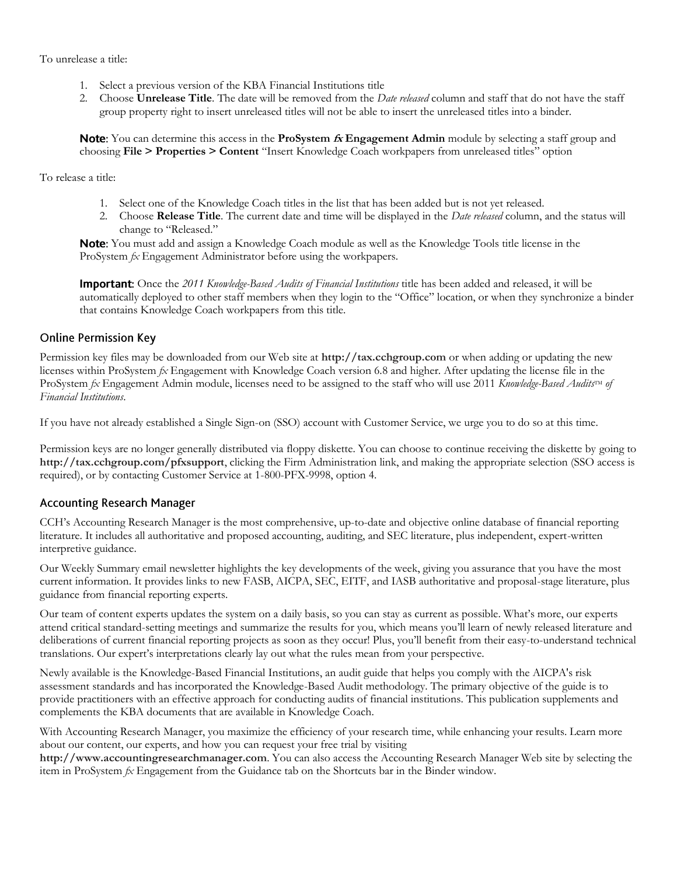To unrelease a title:

- 1. Select a previous version of the KBA Financial Institutions title
- 2. Choose **Unrelease Title**. The date will be removed from the *Date released* column and staff that do not have the staff group property right to insert unreleased titles will not be able to insert the unreleased titles into a binder.

You can determine this access in the **ProSystem fx Engagement Admin** module by selecting a staff group and choosing **File > Properties > Content** "Insert Knowledge Coach workpapers from unreleased titles" option

To release a title:

- 1. Select one of the Knowledge Coach titles in the list that has been added but is not yet released.
- 2. Choose **Release Title**. The current date and time will be displayed in the *Date released* column, and the status will change to "Released."

Note: You must add and assign a Knowledge Coach module as well as the Knowledge Tools title license in the ProSystem *fx* Engagement Administrator before using the workpapers.

**Important:** Once the 2011 Knowledge-Based Audits of Financial Institutions title has been added and released, it will be automatically deployed to other staff members when they login to the "Office" location, or when they synchronize a binder that contains Knowledge Coach workpapers from this title.

#### **Online Permission Key**

Permission key files may be downloaded from our Web site at **http://tax.cchgroup.com** or when adding or updating the new licenses within ProSystem *fx* Engagement with Knowledge Coach version 6.8 and higher. After updating the license file in the ProSystem *fx* Engagement Admin module, licenses need to be assigned to the staff who will use 2011 *Knowledge-Based Audits*<sup>IM</sup> of *Financial Institutions*.

If you have not already established a Single Sign-on (SSO) account with Customer Service, we urge you to do so at this time.

Permission keys are no longer generally distributed via floppy diskette. You can choose to continue receiving the diskette by going to **http://tax.cchgroup.com/pfxsupport**, clicking the Firm Administration link, and making the appropriate selection (SSO access is required), or by contacting Customer Service at 1-800-PFX-9998, option 4.

# **Accounting Research Manager**

CCH's Accounting Research Manager is the most comprehensive, up-to-date and objective online database of financial reporting literature. It includes all authoritative and proposed accounting, auditing, and SEC literature, plus independent, expert-written interpretive guidance.

Our Weekly Summary email newsletter highlights the key developments of the week, giving you assurance that you have the most current information. It provides links to new FASB, AICPA, SEC, EITF, and IASB authoritative and proposal-stage literature, plus guidance from financial reporting experts.

Our team of content experts updates the system on a daily basis, so you can stay as current as possible. What's more, our experts attend critical standard-setting meetings and summarize the results for you, which means you'll learn of newly released literature and deliberations of current financial reporting projects as soon as they occur! Plus, you'll benefit from their easy-to-understand technical translations. Our expert's interpretations clearly lay out what the rules mean from your perspective.

Newly available is the Knowledge-Based Financial Institutions, an audit guide that helps you comply with the AICPA's risk assessment standards and has incorporated the Knowledge-Based Audit methodology. The primary objective of the guide is to provide practitioners with an effective approach for conducting audits of financial institutions. This publication supplements and complements the KBA documents that are available in Knowledge Coach.

With Accounting Research Manager, you maximize the efficiency of your research time, while enhancing your results. Learn more about our content, our experts, and how you can request your free trial by visiting

**http://www.accountingresearchmanager.com**. You can also access the Accounting Research Manager Web site by selecting the item in ProSystem *fx* Engagement from the Guidance tab on the Shortcuts bar in the Binder window.